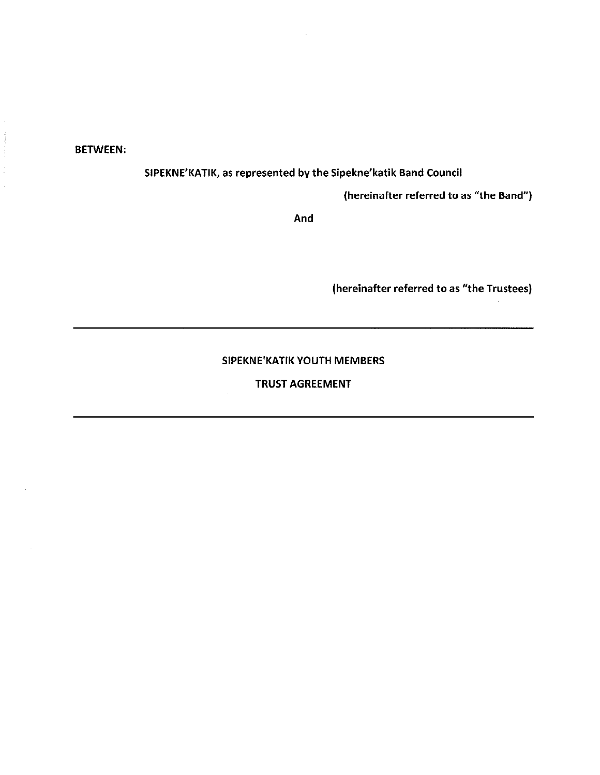BETWEEN:

SIPEKNE'KATIK, as represented by the Sipekne'katik Band Council

(hereinafter referred to as "the Band")

And

(hereinafter referred to as "the Trustees)

## SIPEKNE'KATIK YOUTH MEMBERS

# TRUST AGREEMENT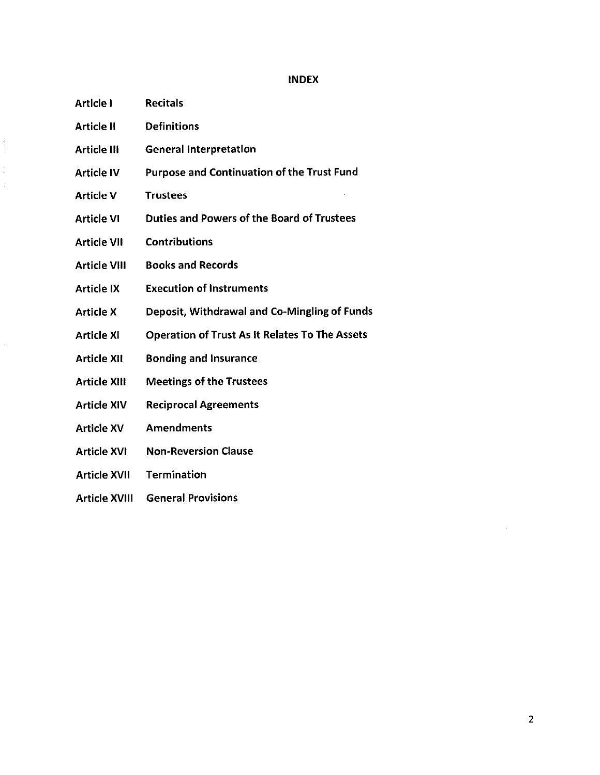#### INDEX

Article I Recitals

 $\frac{1}{3}$ 

- Article II Definitions
- Article III General Interpretation
- Article IV Purpose and Continuation of the Trust Fund
- Article V Trustees
- Article VI Duties and Powers of the Board of Trustees
- Article VII Contributions
- Article VIII Books and Records
- Article IX Execution of Instruments
- Article X Deposit, Withdrawal and Co-Mingling of Funds
- Article Xl Operation of Trust As It Relates To The Assets
- Article XII Bonding and Insurance
- Article XIII Meetings of the Trustees
- Article XIV Reciprocal Agreements
- Article XV Amendments
- Article XVI Non-Reversion Clause
- Article XVII Termination
- Article XVIII General Provisions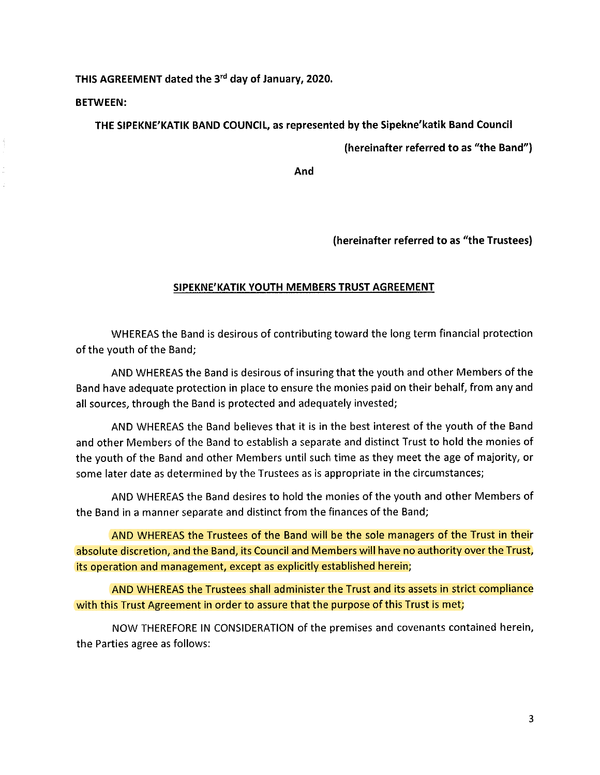THIS AGREEMENT dated the 3rd day of January, 2020.

BETWEEN:

THE SIPEKNE'KATIK BAND COUNCIL, as represented by the Sipekne'katik Band Council

(hereinafter referred to as "the Band")

And

(hereinafter referred to as "the Trustees)

# SIPEKNE'KATIK YOUTH MEMBERS TRUST AGREEMENT

WHEREAS the Band is desirous of contributing toward the long term financial protection of the youth of the Band;

AND WHEREAS the Band is desirous of insuring that the youth and other Members of the Band have adequate protection in place to ensure the monies paid on their behalf, from any and all sources, through the Band is protected and adequately invested;

AND WHEREAS the Band believes that it is in the best interest of the youth of the Band and other Members of the Band to establish a separate and distinct Trust to hold the monies of the youth of the Band and other Members until such time as they meet the age of majority, or some later date as determined by the Trustees as is appropriate in the circumstances;

AND WHEREAS the Band desires to hold the monies of the youth and other Members of the Band in a manner separate and distinct from the finances of the Band;

AND WHEREAS the Trustees of the Band wil! be the sole managers of the Trust in their absolute discretion, and the Band, its Council and Members will have no authority over the Trust, its operation and management, except as explicitly established herein;

AND WHEREAS the Trustees shall administer the Trust and its assets in strict compliance with this Trust Agreement in order to assure that the purpose of this Trust is met;

NOW THEREFORE IN CONSIDERATION of the premises and covenants contained herein, the Parties agree as follows: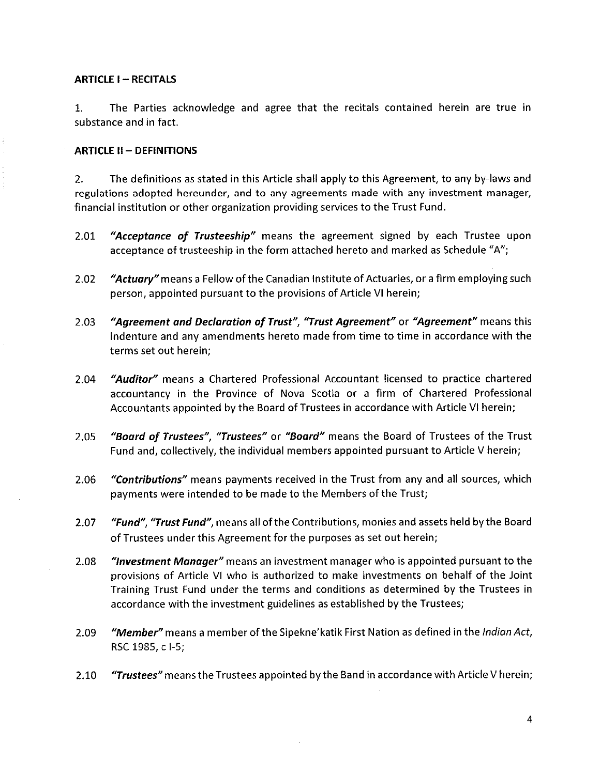## **ARTICLE I - RECITALS**

1. The Parties acknowledge and agree that the recitals contained herein are true in substance and in fact.

# ARTICLE II - DEFINITIONS

2. The definitions as stated in this Article shall apply to this Agreement, to any by-laws and regulations adopted hereunder, and to any agreements made with any investment manager, financial institution or other organization providing services to the Trust Fund.

- 2.01 "Acceptance of Trusteeship" means the agreement signed by each Trustee upon acceptance of trusteeship in the form attached hereto and marked as Schedule "A";
- 2.02 *"Actuary"* means a Fellow of the Canadian Institute of Actuaries, or a firm employing such person, appointed pursuant to the provisions of Article VI herein;
- 2.03 "Agreement and Declaration of Trust", "Trust Agreement" or "Agreement" means this indenture and any amendments hereto made from time to time in accordance with the terms set out herein;
- 2.04 "Auditor" means a Chartered Professional Accountant licensed to practice chartered accountancy in the Province of Nova Scotia or a firm of Chartered Professional Accountants appointed by the Board of Trustees in accordance with Article VI herein;
- 2.05 "Board of Trustees", "Trustees" or "Board" means the Board of Trustees of the Trust Fund and, collectively, the individual members appointed pursuant to Article V herein;
- 2.06 "Contributions" means payments received in the Trust from any and all sources, which payments were intended to be made to the Members of the Trust;
- 2.07 "Fund", "Trust Fund", means all of the Contributions, monies and assets held by the Board of Trustees under this Agreement for the purposes as set out herein;
- 2.08 *"Investment Manager"* means an investment manager who is appointed pursuant to the provisions of Article VI who is authorized to make investments on behalf of the Joint Training Trust Fund under the terms and conditions as determined by the Trustees in accordance with the investment guidelines as established by the Trustees;
- 2.09 *"Member"* means a member of the Sipekne' katik First Nation as defined in the *Indian Act*, RSC 1985, c 1-5;
- 2.10 **"Trustees"** means the Trustees appointed by the Band in accordance with Article V herein;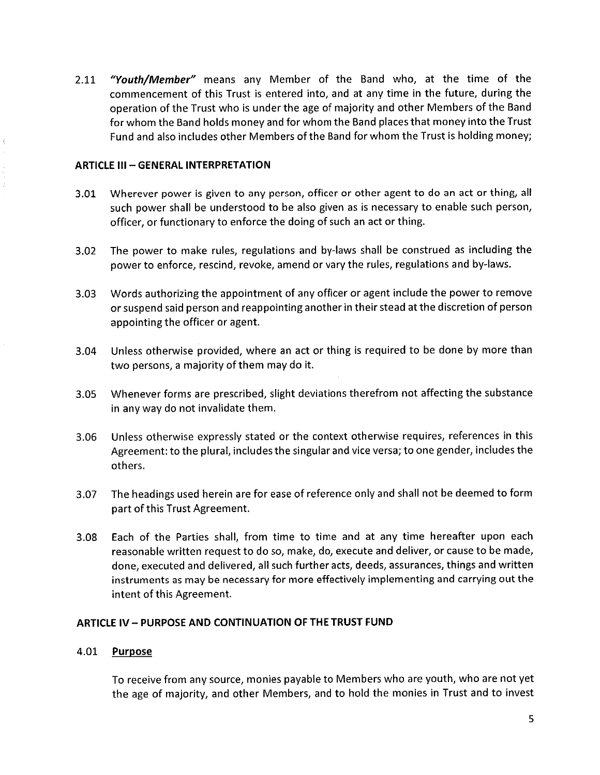2.11 "Youth/Member" means any Member of the Band who, at the time of the commencement of this Trust is entered into, and at any time in the future, during the operation of the Trust who is under the age of majority and other Members of the Band for whom the Band holds money and for whom the Band places that money into the Trust Fund and also includes other Members of the Band for whom the Trust is holding money;

# ARTICLE III - GENERAL INTERPRETATION

- 3.01 Wherever power is given to any person, officer or other agent to do an act or thing, all such power shall be understood to be also given as is necessary to enable such person, officer, or functionary to enforce the doing of such an act or thing.
- 3.02 The power to make rules, regulations and by-laws shall be construed as including the power to enforce, rescind, revoke, amend or vary the rules, regulations and by-laws.
- 3.03 Words authorizing the appointment of any officer or agent include the power to remove or suspend said person and reappointing another in their stead at the discretion of person appointing the officer or agent.
- 3.04 Unless otherwise provided, where an act or thing is required to be done by more than two persons, a majority of them may do it.
- 3.05 Whenever forms are prescribed, slight deviations therefrom not affecting the substance in any way do not invalidate them.
- 3.06 Unless otherwise expressly stated or the context otherwise requires, references in this Agreement: to the plural, includes the singular and vice versa; to one gender, includes the others.
- 3.07 The headings used herein are for ease of reference only and shall not be deemed to form part of this Trust Agreement.
- 3.08 Each of the Parties shall, from time to time and at any time hereafter upon each reasonable written request to do so, make, do, execute and deliver, or cause to be made, done, executed and delivered, all such further acts, deeds, assurances, things and written instruments as may be necessary for more effectively implementing and carrying out the intent of this Agreement.

# ARTICLE IV - PURPOSE AND CONTINUATION OF THE TRUST FUND

# 4.01 Purpose

To receive from any source, monies payable to Members who are youth, who are not yet the age of majority, and other Members, and to hold the monies in Trust and to invest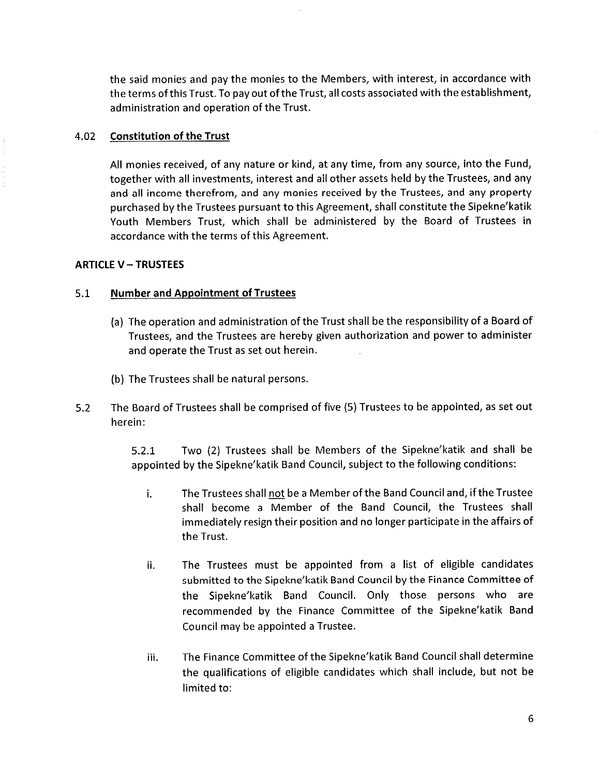the said monies and pay the monies to the Members, with interest, in accordance with the terms of this Trust. To pay out of the Trust, all costs associated with the establishment, administration and operation of the Trust.

# 4.02 Constitution of the Trust

All monies received, of any nature or kind, at any time, from any source, into the Fund/ together with all investments, interest and all other assets held by the Trustees, and any and all income therefrom, and any monies received by the Trustees, and any property purchased by the Trustees pursuant to this Agreement, shall constitute the Sipekne' katik Youth Members Trust, which shall be administered by the Board of Trustees in accordance with the terms of this Agreement.

# ARTICLE V - TRUSTEES

# 5.1 Number and Appointment of Trustees

- (a) The operation and administration of the Trust shall be the responsibility of a Board of Trustees, and the Trustees are hereby given authorization and power to administer and operate the Trust as set out herein.
- (b) The Trustees shall be natural persons.
- 5.2 The Board of Trustees shall be comprised of five (5) Trustees to be appointed, as set out herein:

5.2.1 Two (2) Trustees shall be Members of the Sipekne'katik and shall be appointed by the Sipekne' katik Band Council, subject to the following conditions:

- i. The Trustees shall not be a Member of the Band Council and, if the Trustee shall become a Member of the Band Council, the Trustees shall immediately resign their position and no longer participate in the affairs of the Trust.
- ii. The Trustees must be appointed from a list of eligible candidates submitted to the Sipekne'katik Band Council by the Finance Committee of the Sipekne'katik Band Council. Only those persons who are recommended by the Finance Committee of the Sipekne'katik Band Council may be appointed a Trustee.
- iii. The Finance Committee of the Sipekne'katik Band Council shall determine the qualifications of eligible candidates which shall include, but not be limited to: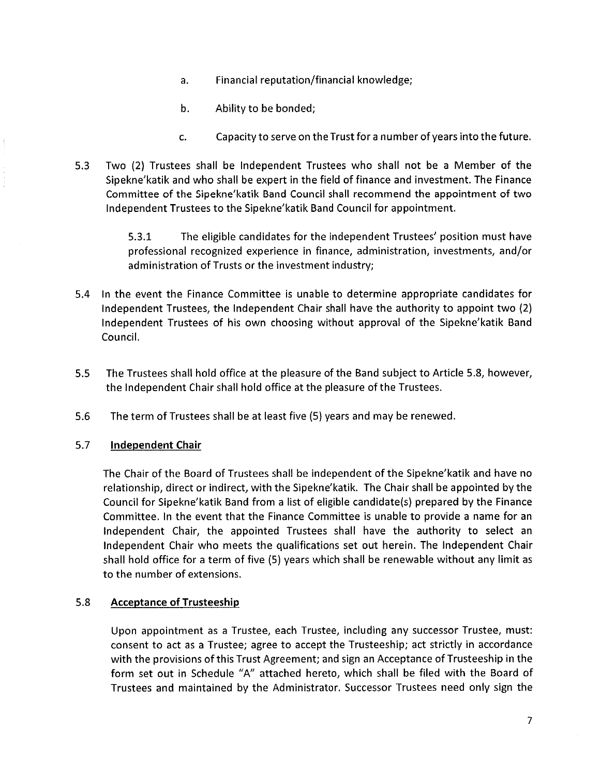- a. Financial reputation/financial knowledge;
- b. Ability to be bonded;
- c. Capacity to serve on the Trust for a number of years into the future.
- 5.3 Two (2) Trustees shall be Independent Trustees who shall not be a Member of the Sipekne' katik and who shall be expert in the field of finance and investment. The Finance Committee of the Sipekne' katik Band Council shall recommend the appointment of two Independent Trustees to the Sipekne'katik Band Council for appointment.

5.3.1 The eligible candidates for the independent Trustees' position must have professional recognized experience in finance, administration, investments, and/or administration of Trusts or the investment industry;

- 5.4 In the event the Finance Committee is unable to determine appropriate candidates for Independent Trustees, the Independent Chair shall have the authority to appoint two  $(2)$ Independent Trustees of his own choosing without approval of the Sipekne'katik Band Council.
- 5.5 The Trustees shal! hold office at the pleasure of the Band subject to Article 5.8, however, the Independent Chair shall hold office at the pleasure of the Trustees.
- 5.6 The term of Trustees shall be at least five (5) years and may be renewed.

# 5.7 Independent Chair

The Chair of the Board of Trustees shall be independent of the Sipekne'katik and have no relationship, direct or indirect, with the Sipekne' katik. The Chair shall be appointed by the Council for Sipekne katik Band from a list of eligible candidate(s) prepared by the Finance Committee. In the event that the Finance Committee is unable to provide a name for an independent Chair, the appointed Trustees shall have the authority to select an Independent Chair who meets the qualifications set out herein. The independent Chair shall hold office for a term of five (5) years which shall be renewable without any limit as to the number of extensions.

# 5.8 Acceptance of Trusteeship

Upon appointment as a Trustee, each Trustee, including any successor Trustee, must: consent to act as a Trustee; agree to accept the Trusteeship; act strictly in accordance with the provisions of this Trust Agreement; and sign an Acceptance of Trusteeship in the form set out in Schedule "A" attached hereto, which shall be filed with the Board of Trustees and maintained by the Administrator. Successor Trustees need only sign the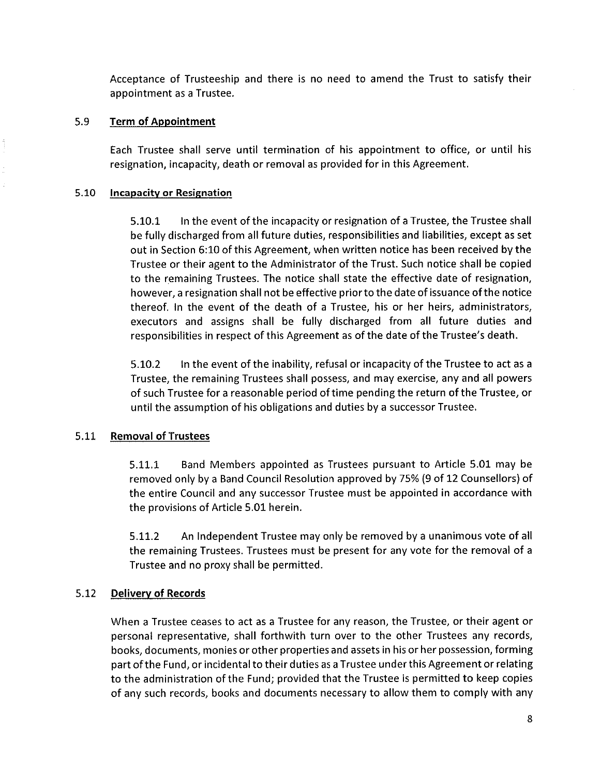Acceptance of Trusteeship and there is no need to amend the Trust to satisfy their appointment as a Trustee.

# 5.9 Term of Appointment

Each Trustee shall serve until termination of his appointment to office, or until his resignation, incapacity, death or removal as provided for in this Agreement.

# 5.10 Incapacity or Resignation

5.10.1 In the event of the incapacity or resignation of a Trustee, the Trustee shall be fully discharged from all future duties, responsibilities and liabilities, except as set out in Section 6:10 of this Agreement, when written notice has been received by the Trustee or their agent to the Administrator of the Trust. Such notice shall be copied to the remaining Trustees. The notice shall state the effective date of resignation, however, a resignation shall not be effective prior to the date of issuance of the notice thereof. In the event of the death of a Trustee, his or her heirs, administrators, executors and assigns shall be fully discharged from all future duties and responsibilities in respect of this Agreement as of the date of the Trustee's death.

5.10.2 In the event of the inability, refusal or incapacity of the Trustee to act as a Trustee, the remaining Trustees shall possess, and may exercise, any and all powers of such Trustee for a reasonable period of time pending the return of the Trustee, or until the assumption of his obligations and duties by a successor Trustee.

# 5.11 Removal of Trustees

5.11.1 Band Members appointed as Trustees pursuant to Article 5.01 may be removed only by a Band Council Resolution approved by 75% (9 of 12 Counsellors) of the entire Council and any successor Trustee must be appointed in accordance with the provisions of Article 5.01 herein.

5.11.2 An Independent Trustee may only be removed by a unanimous vote of all the remaining Trustees. Trustees must be present for any vote for the removal of a Trustee and no proxy shall be permitted.

# 5.12 Delivery of Records

When a Trustee ceases to act as a Trustee for any reason, the Trustee, or their agent or persona! representative, shall forthwith turn over to the other Trustees any records, books/ documents, monies or other properties and assets in his or her possession, forming part of the Fund, or incidental to their duties as a Trustee under this Agreement or relating to the administration of the Fund; provided that the Trustee is permitted to keep copies of any such records, books and documents necessary to allow them to comply with any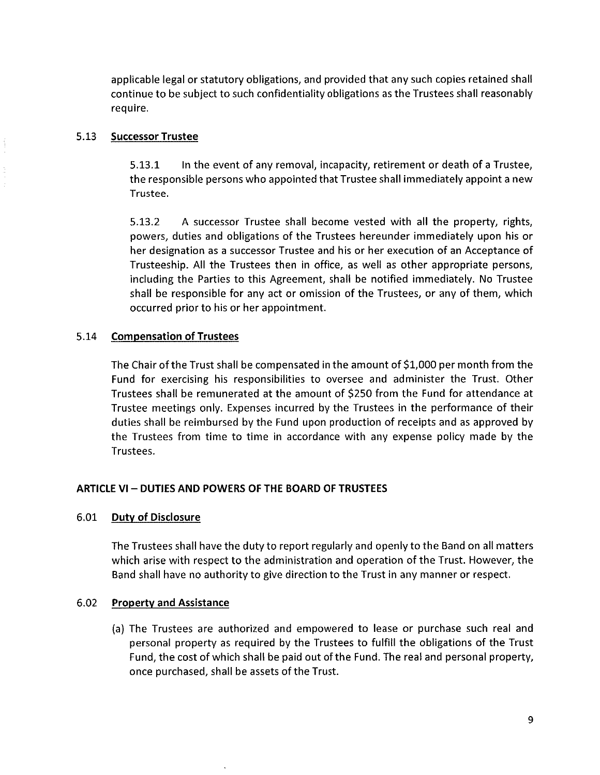applicable legal or statutory obligations, and provided that any such copies retained shall continue to be subject to such confidentiality obligations as the Trustees shall reasonably require.

### 5.13 Successor Trustee

5.13.1 In the event of any removal, incapacity, retirement or death of a Trustee, the responsible persons who appointed that Trustee shall immediately appoint a new Trustee.

5.13.2 A successor Trustee shall become vested with all the property, rights, powers, duties and obligations of the Trustees hereunder immediately upon his or her designation as a successor Trustee and his or her execution of an Acceptance of Trusteeship. All the Trustees then in office, as well as other appropriate persons, including the Parties to this Agreement, shall be notified immediately. No Trustee shall be responsible for any act or omission of the Trustees, or any of them, which occurred prior to his or her appointment.

# 5.14 Compensation of Trustees

The Chair of the Trust shall be compensated in the amount of \$1,000 per month from the Fund for exercising his responsibilities to oversee and administer the Trust. Other Trustees shal! be remunerated at the amount of \$250 from the Fund for attendance at Trustee meetings only. Expenses incurred by the Trustees in the performance of their duties shall be reimbursed by the Fund upon production of receipts and as approved by the Trustees from time to time in accordance with any expense policy made by the Trustees.

# ARTICLE VI - DUTIES AND POWERS OF THE BOARD OF TRUSTEES

### 6.01 Duty of Disclosure

The Trustees shall have the duty to report regularly and openly to the Band on all matters which arise with respect to the administration and operation of the Trust. However, the Band shall have no authority to give direction to the Trust in any manner or respect.

# 6.02 Property and Assistance

(a) The Trustees are authorized and empowered to lease or purchase such real and personal property as required by the Trustees to fulfill the obligations of the Trust Fund, the cost of which shall be paid out of the Fund. The real and personal property, once purchased, shall be assets of the Trust.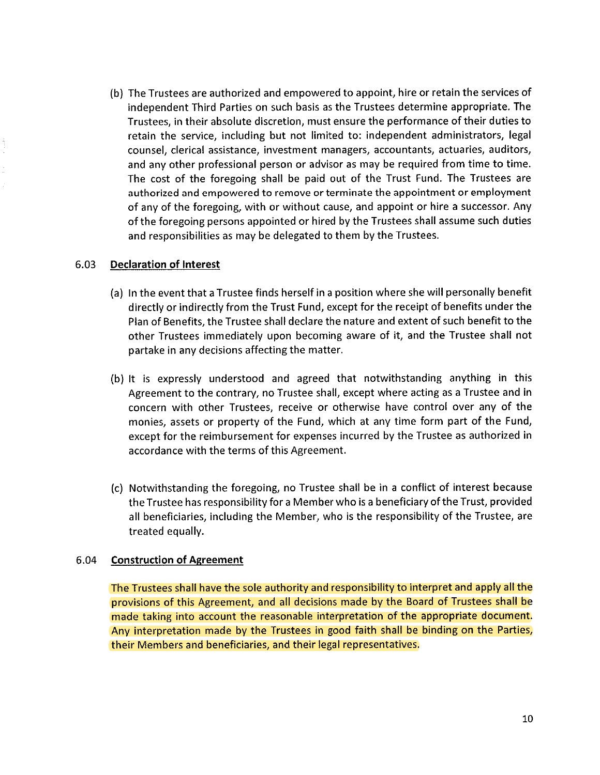(b) The Trustees are authorized and empowered to appoint, hire or retain the services of independent Third Parties on such basis as the Trustees determine appropriate. The Trustees, in their absolute discretion, must ensure the performance of their duties to retain the service, including but not limited to: independent administrators, legal counsel, clerical assistance, investment managers, accountants, actuaries, auditors, and any other professional person or advisor as may be required from time to time. The cost of the foregoing shal! be paid out of the Trust Fund. The Trustees are authorized and empowered to remove or terminate the appointment or employment of any of the foregoing, with or without cause, and appoint or hire a successor. Any of the foregoing persons appointed or hired by the Trustees shall assume such duties and responsibilities as may be delegated to them by the Trustees.

# 6.03 Declaration of Interest

- (a) In the event that a Trustee finds herself in a position where she will personally benefit directly or indirectly from the Trust Fund, except for the receipt of benefits under the Plan of Benefits, the Trustee shall declare the nature and extent of such benefit to the other Trustees immediately upon becoming aware of it, and the Trustee shal! not partake in any decisions affecting the matter.
- (b) It is expressly understood and agreed that notwithstanding anything in this Agreement to the contrary, no Trustee shall, except where acting as a Trustee and in concern with other Trustees, receive or otherwise have control over any of the monies, assets or property of the Fund, which at any time form part of the Fund, except for the reimbursement for expenses incurred by the Trustee as authorized in accordance with the terms of this Agreement.
- (c) Notwithstanding the foregoing, no Trustee shall be in a conflict of interest because the Trustee has responsibility for a Member who is a beneficiary of the Trust, provided all beneficiaries, including the Member, who is the responsibility of the Trustee, are treated equally.

# 6.04 Construction of Agreement

The Trustees shall have the sole authority and responsibility to interpret and apply all the provisions of this Agreement, and all decisions made by the Board of Trustees shall be made taking into account the reasonable interpretation of the appropriate document. Any interpretation made by the Trustees in good faith shall be binding on the Parties, their Members and beneficiaries, and their legal representatives.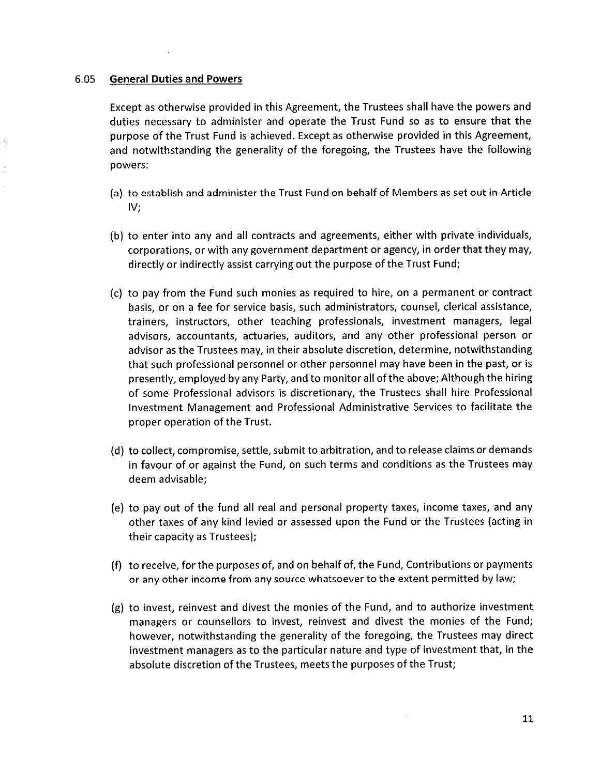#### 6.05 General Duties and Powers

Except as otherwise provided in this Agreement, the Trustees shall have the powers and duties necessary to administer and operate the Trust Fund so as to ensure that the purpose of the Trust Fund is achieved. Except as otherwise provided in this Agreement, and notwithstanding the generality of the foregoing, the Trustees have the following powers:

- (a) to establish and administer the Trust Fund on behaif of Members as set out in Article IV;
- (b) to enter into any and all contracts and agreements, either with private individuals, corporations, or with any government department or agency, in order that they may, directly or indirectly assist carrying out the purpose of the Trust Fund;
- (c) to pay from the Fund such monies as required to hire, on a permanent or contract basis, or on a fee for service basis, such administrators, counsel, clerical assistance, trainers, instructors, other teaching professionals, investment managers, legal advisors, accountants, actuaries, auditors, and any other professional person or advisor as the Trustees may, in their absolute discretion, determine, notwithstanding that such professional personnel or other personnel may have been in the past, or is presently, employed by any Party, and to monitor all of the above; Although the hiring of some Professional advisors is discretionary, the Trustees shall hire Professional Investment Management and Professional Administrative Services to facilitate the proper operation of the Trust.
- (d) to collect, compromise, settle, submit to arbitration, and to release claims or demands in favour of or against the Fund, on such terms and conditions as the Trustees may deem advisable;
- (e) to pay out of the fund all real and personal property taxes, income taxes, and any other taxes of any kind levied or assessed upon the Fund or the Trustees (acting in their capacity as Trustees);
- (f) to receive, for the purposes of, and on behalf of, the Fund, Contributions or payments or any other income from any source whatsoever to the extent permitted by law;
- $(g)$  to invest, reinvest and divest the monies of the Fund, and to authorize investment managers or counsellors to invest, reinvest and divest the monies of the Fund; however, notwithstanding the generality of the foregoing, the Trustees may direct investment managers as to the particular nature and type of investment that, in the absolute discretion of the Trustees, meets the purposes of the Trust;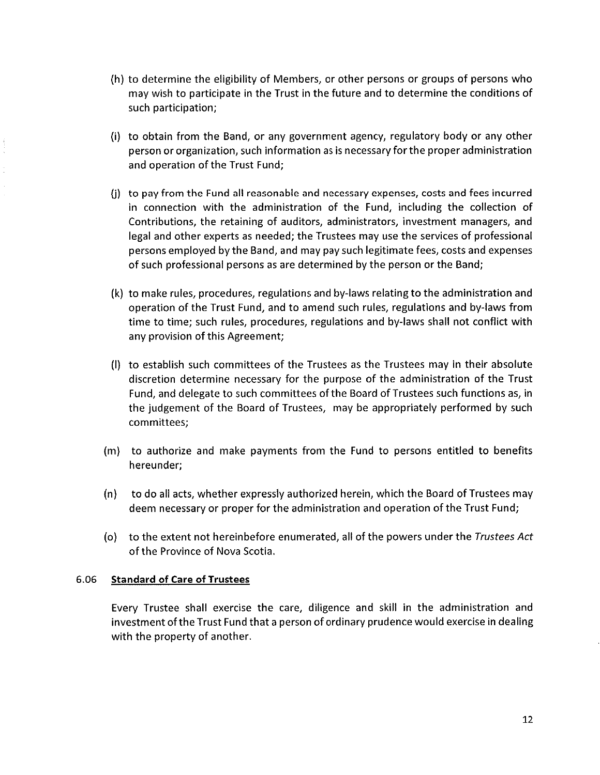- (h) to determine the eligibility of Members, or other persons or groups of persons who may wish to participate in the Trust in the future and to determine the conditions of such participation;
- $(i)$  to obtain from the Band, or any government agency, regulatory body or any other person or organization, such information as is necessary for the proper administration and operation of the Trust Fund;
- (j) to pay from the Fund all reasonable and necessary expenses/ costs and fees incurred in connection with the administration of the Fund, including the collection of Contributions, the retaining of auditors, administrators, investment managers, and legal and other experts as needed; the Trustees may use the services of professional persons employed by the Band/ and may pay such legitimate fees, costs and expenses of such professional persons as are determined by the person or the Band;
- (k) to make rules, procedures, regulations and by-laws relating to the administration and operation of the Trust Fund/ and to amend such rules, regulations and by-laws from time to time; such rules, procedures, regulations and by-laws shall not conflict with any provision of this Agreement;
- (I) to establish such committees of the Trustees as the Trustees may in their absolute discretion determine necessary for the purpose of the administration of the Trust Fund, and delegate to such committees of the Board of Trustees such functions as, in the judgement of the Board of Trustees, may be appropriately performed by such committees;
- (m) to authorize and make payments from the Fund to persons entitled to benefits hereunder;
- (n) to do all acts/ whether expressly authorized herein, which the Board of Trustees may deem necessary or proper for the administration and operation of the Trust Fund;
- (o) to the extent not hereinbefore enumerated, al! of the powers under the Trustees Act of the Province of Nova Scotia.

# 6.06 Standard of Care of Trustees

Every Trustee shall exercise the care, diligence and skill in the administration and investment of the Trust Fund that a person of ordinary prudence would exercise in dealing with the property of another.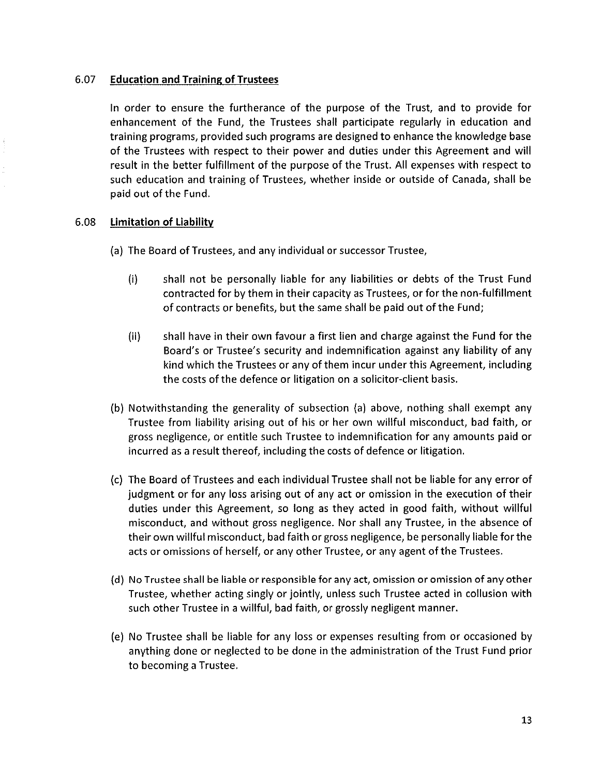# 6.07 Education and Training of Trustees

In order to ensure the furtherance of the purpose of the Trust, and to provide for enhancement of the Fund, the Trustees shall participate regularly in education and training programs, provided such programs are designed to enhance the knowledge base of the Trustees with respect to their power and duties under this Agreement and will result in the better fulfillment of the purpose of the Trust. All expenses with respect to such education and training of Trustees, whether inside or outside of Canada, shall be paid out of the Fund.

# 6.08 Limitation of Liability

- (a) The Board of Trustees, and any individual or successor Trustee,
	- (i) shal! not be personally liable for any liabilities or debts of the Trust Fund contracted for by them in their capacity as Trustees, or for the non-fulfitlment of contracts or benefits, but the same shall be paid out of the Fund;
	- (ii) shall have in their own favour a first !ien and charge against the Fund for the Board's or Trustee's security and indemnification against any liability of any kind which the Trustees or any of them incur under this Agreement, including the costs of the defence or litigation on a solicitor-dient basis.
- (b) Notwithstanding the generality of subsection (a) above, nothing shall exempt any Trustee from liability arising out of his or her own willful misconduct, bad faith, or gross negligence, or entitle such Trustee to indemnification for any amounts paid or incurred as a result thereof, including the costs of defence or litigation.
- (c) The Board of Trustees and each individual Trustee shal! not be liable for any error of Judgment or for any loss arising out of any act or omission in the execution of their duties under this Agreement, so long as they acted in good faith, without willful misconduct, and without gross negligence. Nor shall any Trustee, in the absence of their own willful misconduct, bad faith or gross negligence, be personally liable for the acts or omissions of herself, or any other Trustee, or any agent of the Trustees.
- (d) No Trustee shall be liable or responsible for any act, omission or omission of any other Trustee, whether acting singly or jointly, unless such Trustee acted in collusion with such other Trustee in a willful, bad faith, or grossly negligent manner.
- (e) No Trustee shall be liable for any loss or expenses resulting from or occasioned by anything done or neglected to be done in the administration of the Trust Fund prior to becoming a Trustee.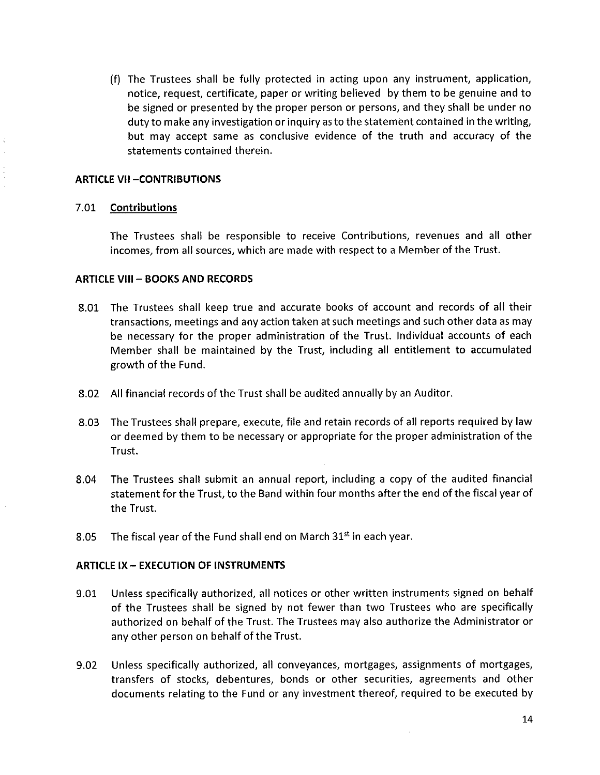(f) The Trustees shal! be fully protected in acting upon any instrument/ application, notice, request, certificate, paper or writing believed by them to be genuine and to be signed or presented by the proper person or persons, and they shall be under no duty to make any investigation or inquiry as to the statement contained in the writing, but may accept same as conclusive evidence of the truth and accuracy of the statements contained therein.

### **ARTICLE VII-CONTRIBUTIONS**

# 7.01 Contributions

The Trustees shall be responsible to receive Contributions, revenues and all other incomes, from all sources, which are made with respect to a Member of the Trust.

# ARTICLE VIII - BOOKS AND RECORDS

- 8.01 The Trustees shall keep true and accurate books of account and records of all their transactions, meetings and any action taken at such meetings and such other data as may be necessary for the proper administration of the Trust. Individual accounts of each Member shall be maintained by the Trust, including all entitlement to accumulated growth of the Fund.
- 8.02 All financial records of the Trust shall be audited annually by an Auditor.
- 8.03 The Trustees shall prepare, execute, file and retain records of all reports required by law or deemed by them to be necessary or appropriate for the proper administration of the Trust.
- 8.04 The Trustees shal! submit an annual report, including a copy of the audited financial statement for the Trust, to the Band within four months after the end of the fiscal year of the Trust.
- 8.05 The fiscal year of the Fund shall end on March  $31<sup>st</sup>$  in each year.

# ARTICLE IX- EXECUTION OF INSTRUMENTS

- 9.01 Unless specifically authorized, all notices or other written instruments signed on behalf of the Trustees shall be signed by not fewer than two Trustees who are specifically authorized on behalf of the Trust. The Trustees may also authorize the Administrator or any other person on behalf of the Trust.
- 9.02 Unless specifically authorized, all conveyances, mortgages, assignments of mortgages, transfers of stocks, debentures, bonds or other securities, agreements and other documents relating to the Fund or any investment thereof, required to be executed by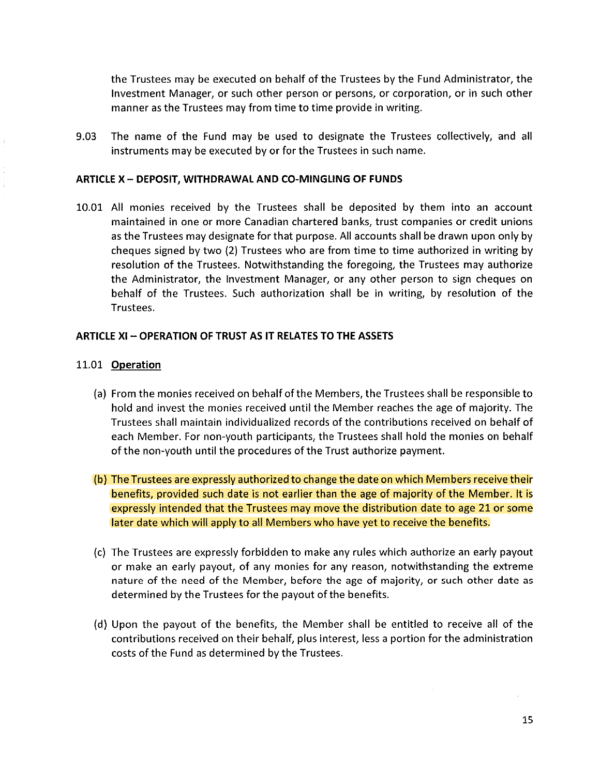the Trustees may be executed on behalf of the Trustees by the Fund Administrator, the Investment Manager, or such other person or persons, or corporation, or in such other manner as the Trustees may from time to time provide in writing.

9.03 The name of the Fund may be used to designate the Trustees collectively, and all instruments may be executed by or for the Trustees in such name.

#### ARTICLE X - DEPOSIT, WITHDRAWAL AND CO-MINGLING OF FUNDS

10.01 All monies received by the Trustees shall be deposited by them into an account maintained in one or more Canadian chartered banks, trust companies or credit unions as the Trustees may designate for that purpose. All accounts shall be drawn upon only by cheques signed by two (2) Trustees who are from time to time authorized in writing by resolution of the Trustees. Notwithstanding the foregoing, the Trustees may authorize the Administrator, the Investment Manager, or any other person to sign cheques on behalf of the Trustees. Such authorization shall be in writing, by resolution of the Trustees.

#### ARTICLE Xl ~ OPERATION OF TRUST AS IT RELATES TO THE ASSETS

#### 11.01 Operation

- (a) From the monies received on behalf of the Members, the Trustees shal! be responsible to hold and invest the monies received until the Member reaches the age of majority. The Trustees shall maintain individualized records of the contributions received on behalf of each Member. For non-youth participants, the Trustees shall hold the monies on behalf of the non-youth until the procedures of the Trust authorize payment.
- (b) The Trustees are expressly authorized to change the date on which Members receive their benefits, provided such date is not earlier than the age of majority of the Member. It is expressly intended that the Trustees may move the distribution date to age 21 or some later date which wil! apply to all Members who have yet to receive the benefits.
- (c) The Trustees are expressly forbidden to make any rules which authorize an early payout or make an early payout, of any monies for any reason, notwithstanding the extreme nature of the need of the Member, before the age of majority, or such other date as determined by the Trustees for the payout of the benefits.
- (d) Upon the payout of the benefits, the Member shall be entitled to receive all of the contributions received on their behalf, plus interest, less a portion for the administration costs of the Fund as determined by the Trustees.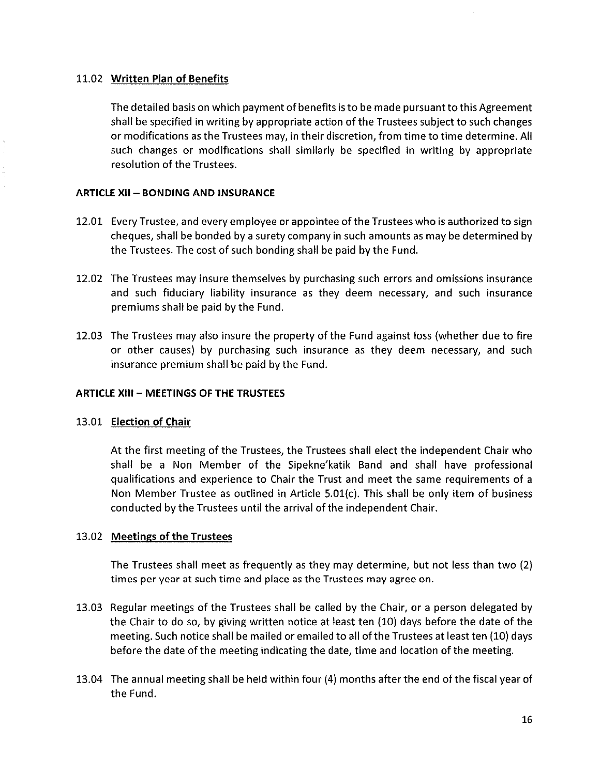# 11.02 Written Plan of Benefits

The detailed basis on which payment of benefits is to be made pursuant to this Agreement shall be specified in writing by appropriate action of the Trustees subject to such changes or modifications as the Trustees may, in their discretion, from time to time determine. All such changes or modifications shall similarly be specified in writing by appropriate resolution of the Trustees.

# **ARTICLE XII - BONDING AND INSURANCE**

- 12.01 Every Trustee, and every employee or appointee of the Trustees who is authorized to sign cheques, shall be bonded by a surety company in such amounts as may be determined by the Trustees. The cost of such bonding shall be paid by the Fund.
- 12.02 The Trustees may insure themselves by purchasing such errors and omissions insurance and such fiduciary liability insurance as they deem necessary, and such insurance premiums shall be paid by the Fund.
- 12.03 The Trustees may also insure the property of the Fund against loss (whether due to fire or other causes) by purchasing such insurance as they deem necessary, and such insurance premium shall be paid by the Fund.

# ARTICLE XIII - MEETINGS OF THE TRUSTEES

### 13.01 Election of Chair

At the first meeting of the Trustees, the Trustees shall elect the independent Chair who shall be a Non Member of the Sipekne' katik Band and shall have professional qualifications and experience to Chair the Trust and meet the same requirements of a Non Member Trustee as outlined in Article 5.01(c). This shall be only item of business conducted by the Trustees until the arrival of the independent Chair.

# 13.02 Meetings of the Trustees

The Trustees shall meet as frequently as they may determine, but not less than two (2) times per year at such time and place as the Trustees may agree on.

- 13.03 Regular meetings of the Trustees shall be called by the Chair, or a person delegated by the Chair to do so, by giving written notice at least ten (10) days before the date of the meeting. Such notice shall be mailed or emailed to all of the Trustees at least ten (10) days before the date of the meeting indicating the date, time and location of the meeting.
- 13.04 The annual meeting shall be held within four (4) months after the end of the fiscal year of the Fund.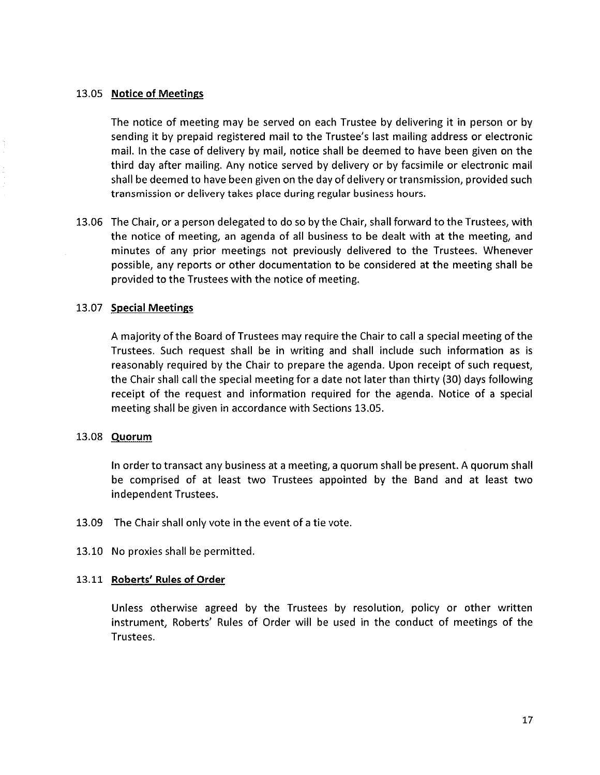### 13.05 Notice of Meetings

The notice of meeting may be served on each Trustee by delivering it in person or by sending it by prepaid registered mail to the Trustee's last mailing address or electronic mail. In the case of delivery by mail, notice shall be deemed to have been given on the third day after mailing. Any notice served by delivery or by facsimile or electronic mail shall be deemed to have been given on the day of delivery or transmission, provided such transmission or delivery takes place during regular business hours.

13.06 The Chair, or a person delegated to do so by the Chair, shall forward to the Trustees, with the notice of meeting, an agenda of all business to be dealt with at the meeting, and minutes of any prior meetings not previously delivered to the Trustees. Whenever possible, any reports or other documentation to be considered at the meeting shall be provided to the Trustees with the notice of meeting.

### 13.07 Special Meetings

A majority of the Board of Trustees may require the Chair to call a special meeting of the Trustees. Such request shall be in writing and shall include such information as is reasonably required by the Chair to prepare the agenda. Upon receipt of such request, the Chair shall call the special meeting for a date not later than thirty (30) days following receipt of the request and information required for the agenda. Notice of a special meeting shall be given in accordance with Sections 13.05.

#### 13.08 Quorum

tn order to transact any business at a meeting, a quorum shall be present. A quorum shall be comprised of at least two Trustees appointed by the Band and at least two independent Trustees.

- 13.09 The Chair shall only vote in the event of a tie vote.
- 13.10 No proxies shall be permitted.

#### 13.11 Roberts' Rules of Order

Unless otherwise agreed by the Trustees by resolution, policy or other written instrument, Roberts' Rules of Order will be used In the conduct of meetings of the Trustees.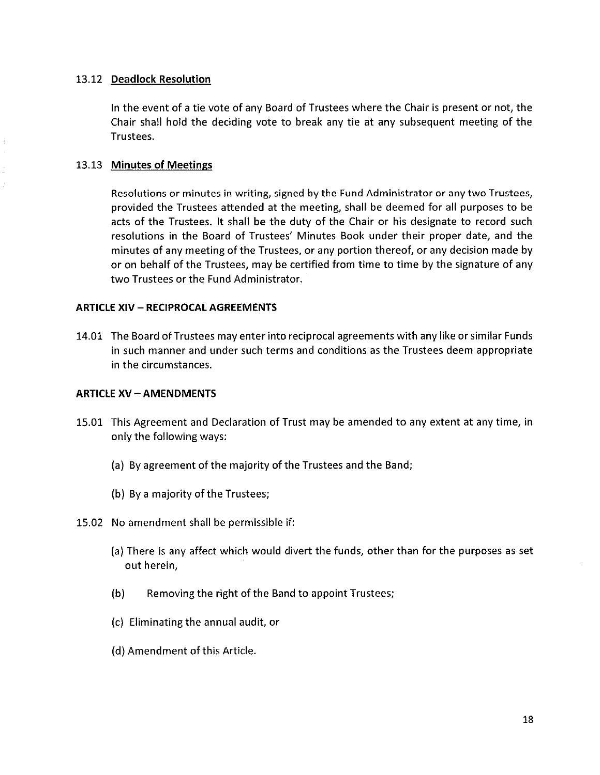# 13.12 Deadlock Resolution

In the event of a tie vote of any Board of Trustees where the Chair is present or not, the Chair shall hold the deciding vote to break any tie at any subsequent meeting of the Trustees.

# 13.13 Minutes of Meetings

Resolutions or minutes in writing, signed by the Fund Administrator or any two Trustees, provided the Trustees attended at the meeting, shall be deemed for al! purposes to be acts of the Trustees. It shall be the duty of the Chair or his designate to record such resolutions in the Board of Trustees' Minutes Book under their proper date, and the minutes of any meeting of the Trustees, or any portion thereof, or any decision made by or on behalf of the Trustees, may be certified from time to time by the signature of any two Trustees or the Fund Administrator.

### ARTICLE XIV - RECIPROCAL AGREEMENTS

14.01 The Board of Trustees may enter into reciprocal agreements with any like or similar Funds in such manner and under such terms and conditions as the Trustees deem appropriate in the circumstances.

### ARTICLE XV - AMENDMENTS

- 15.01 This Agreement and Declaration of Trust may be amended to any extent at any time, in only the following ways:
	- (a) By agreement of the majority of the Trustees and the Band;
	- (b) By a majority of the Trustees;
- 15.02 No amendment shall be permissible if:
	- (a) There is any affect which would divert the funds, other than for the purposes as set out herein,
	- (b) Removing the right of the Band to appoint Trustees;
	- (c) Eliminating the annual audit, or
	- (d) Amendment of this Article.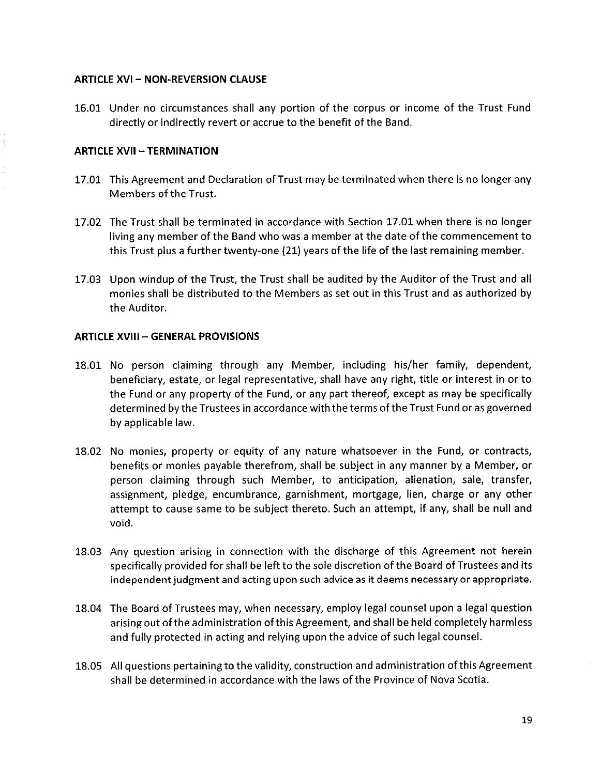# **ARTICLE XVI - NON-REVERSION CLAUSE**

16.01 Under no circumstances shall any portion of the corpus or income of the Trust Fund directly or indirectly revert or accrue to the benefit of the Band.

# **ARTICLE XVII - TERMINATION**

- 17.01 This Agreement and Declaration of Trust may be terminated when there is no longer any Members of the Trust.
- 17.02 The Trust shall be terminated in accordance with Section 17.01 when there is no longer living any member of the Band who was a member at the date of the commencement to this Trust plus a further twenty-one (21) years of the life of the last remaining member.
- 17.03 Upon windup of the Trust, the Trust shall be audited by the Auditor of the Trust and all monies shall be distributed to the Members as set out in this Trust and as authorized by the Auditor.

# ARTICLE XVIII - GENERAL PROVISIONS

- 18.01 No person claiming through any Member, including his/her fami!y, dependent, beneficiary, estate, or legal representative, shall have any right, title or interest in or to the Fund or any property of the Fund, or any part thereof, except as may be specifically determined by the Trustees in accordance with the terms of the Trust Fund or as governed by applicable law.
- 18.02 No monies, property or equity of any nature whatsoever in the Fund, or contracts, benefits or monies payable therefrom, shall be subject in any manner by a Member, or person claiming through such Member, to anticipation, alienation, sale, transfer, assignment, pledge, encumbrance, garnishment, mortgage, lien, charge or any other attempt to cause same to be subject thereto. Such an attempt, if any, shall be null and void.
- 18.03 Any question arising in connection with the discharge of this Agreement not herein specifically provided for shall be left to the sole discretion of the Board of Trustees and its independent judgment and acting upon such advice as it deems necessary or appropriate.
- 18.04 The Board of Trustees may, when necessary, employ legal counsel upon a legal question arising out of the administration of this Agreement, and shall be held completely harmless and fully protected in acting and relying upon the advice of such legal counsel.
- 18.05 Ali questions pertaining to the validity, construction and administration of this Agreement shall be determined in accordance with the laws of the Province of Nova Scotia.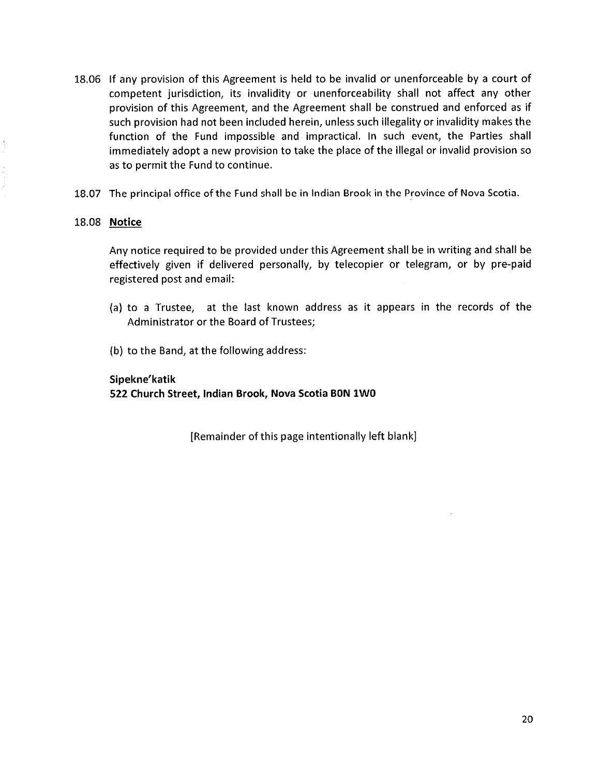- 18.06 If any provision of this Agreement is held to be invalid or unenforceable by a court of competent jurisdiction, its invalidity or unenforceability shall not affect any other provision of this Agreement, and the Agreement shall be construed and enforced as if such provision had not been included herein, unless such illegality or invalidity makes the function of the Fund impossible and impractical. In such event, the Parties shall immediately adopt a new provision to take the place of the illegal or invalid provision so as to permit the Fund to continue.
- 18.07 The principal office of the Fund shall be in Indian Brook in the Province of Nova Scotia.

### 18.08 Notice

Any notice required to be provided under this Agreement sha!l be in writing and shall be effectively given if delivered personally, by telecopier or telegram, or by pre-paid registered post and email:

- (a) to a Trustee, at the last known address as it appears in the records of the Administrator or the Board of Trustees;
- (b) to the Band, at the following address:

# Sipekne'katik 522 Church Street, Indian Brook, Nova Scotia BON 1WO

[Remainder of this page intentionally left blank]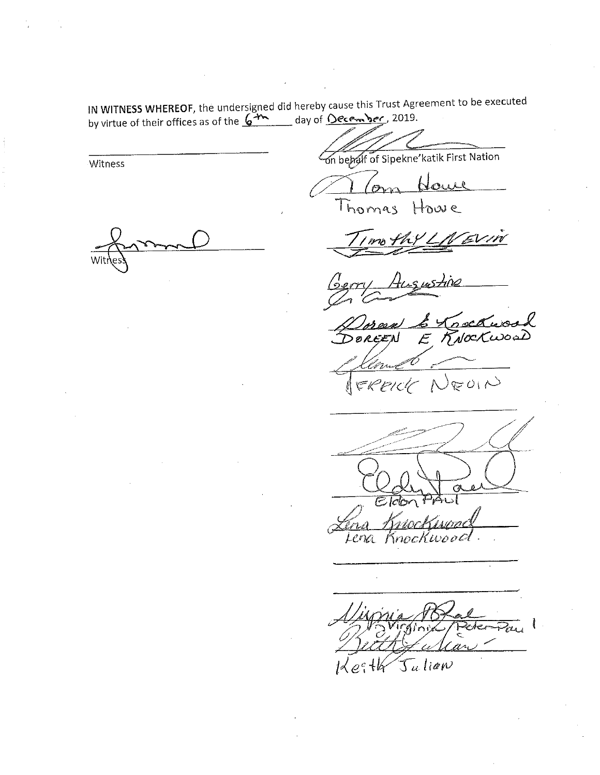$\frac{1}{2}$  With EU, the undersigned did hereby cause the  $\frac{1}{2}$   $\frac{1}{2}$  and  $\frac{1}{2}$ 

Witness

by virtue of their offices as of the  $\frac{2\pi}{\sqrt{2}}$  day of  $\frac{2\pi}{\sqrt{2}}$ bejaar of Sipekne'katik First Nation

Thomas Howe

 $\overline{\phantom{a}}$ 

<u>s uszne</u>  $\frac{1}{\sqrt{m}}$ 

 $\Gamma$ <sup>V</sup>  $\Gamma$   $\Gamma$   $\Gamma$  $\mathcal{L}$ NEUIN ERPICIC

 $\overline{\sqrt{\varepsilon}}$  $\overline{\mathit{leb}}$ Lena Knockwood

 $\frac{1}{2}$  .  $\frac{1}{2}$ With of whar  $\mathcal{T}_u$  lian  $e^{\epsilon}$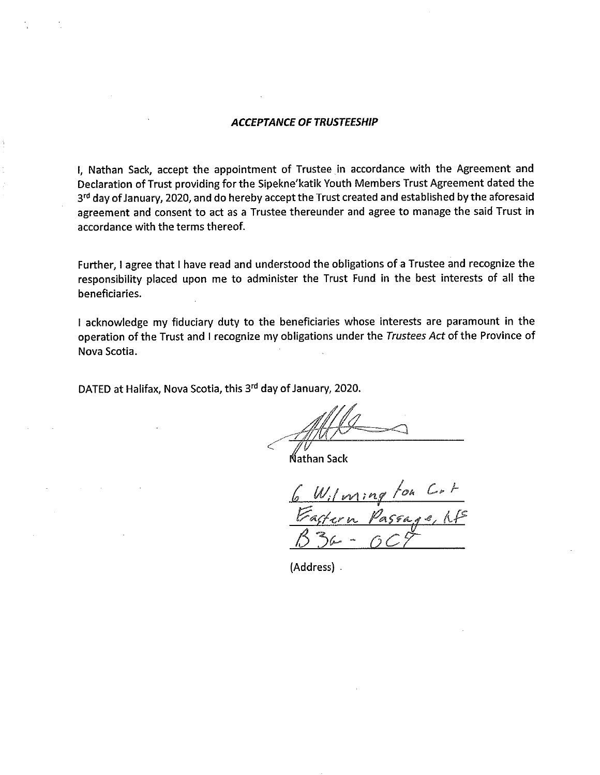I, Nathan Sack, accept the appointment of Trustee in accordance with the Agreement and Declaration of Trust providing for the Sipekne'katik Youth Members Trust Agreement dated the 3<sup>rd</sup> day of January, 2020, and do hereby accept the Trust created and established by the aforesaid agreement and consent to act as a Trustee thereunder and agree to manage the said Trust in accordance with the terms thereof.

Further, I agree that I have read and understood the obligations of a Trustee and recognize the responsibility placed upon me to administer the Trust Fund in the best interests of all the beneficiaries.

f acknowledge my fiduciary duty to the beneficiaries whose interests are paramount in the operation of the Trust and I recognize my obligations under the Trustees Act of the Province of Nova Scotia.

DATED at Halifax, Nova Scotia, this 3rd day of January, 2020.

iathan Sack

 $W_i/ming$ 

(Address) .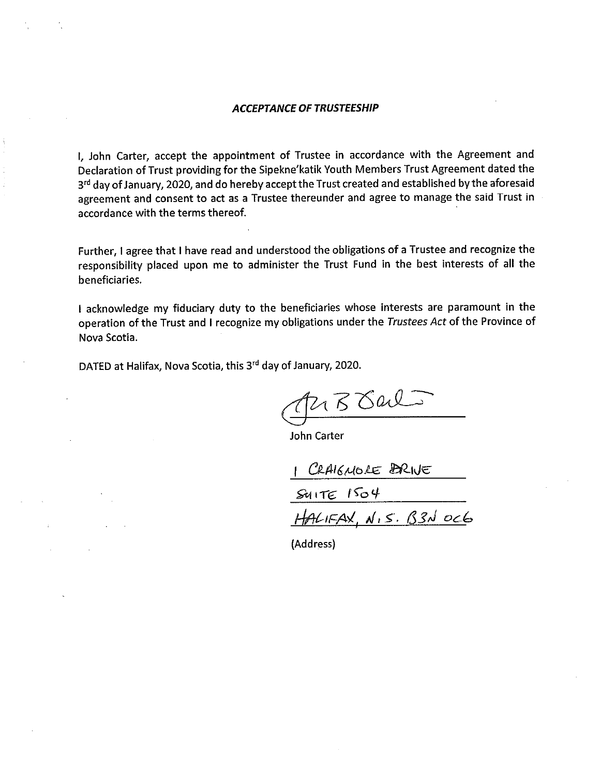I, John Carter, accept the appointment of Trustee in accordance with the Agreement and Declaration of Trust providing for the Sipekne'katik Youth Members Trust Agreement dated the 3<sup>rd</sup> day of January, 2020, and do hereby accept the Trust created and established by the aforesaid agreement and consent to act as a Trustee thereunder and agree to manage the said Trust in accordance with the terms thereof.

Further, I agree that I have read and understood the obligations of a Trustee and recognize the responsibility placed upon me to administer the Trust Fund in the best interests of all the beneficiaries.

I acknowledge my fiduciary duty to the beneficiaries whose interests are paramount in the operation of the Trust and I recognize my obligations under the Trustees Act of the Province of Nova Scotia.

DATED at Halifax, Nova Scotia, this 3<sup>rd</sup> day of January, 2020.

 $2150$ al

John Carter

1 CRAIGNOLE BRIVE

SUITE 1504

<u>V.S. B3N ock</u>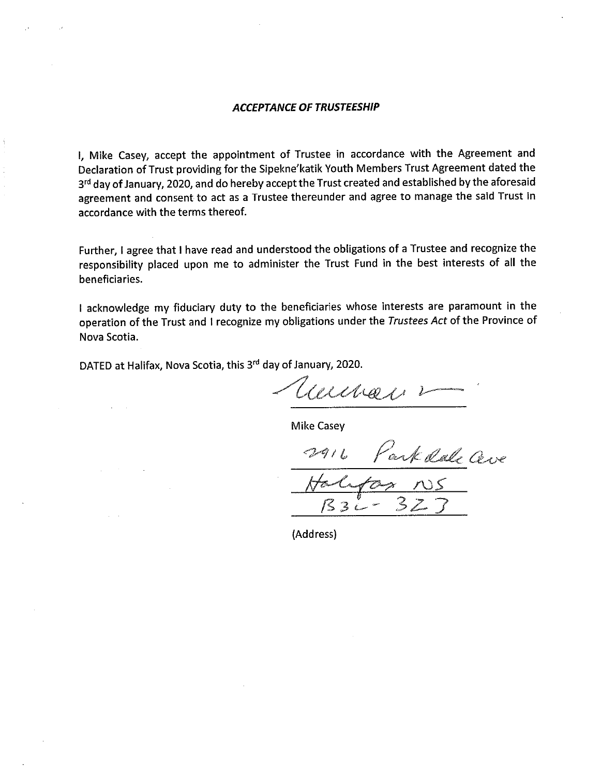I, Mike Casey, accept the appointment of Trustee in accordance with the Agreement and Declaration of Trust providing for the Sipekne'katik Youth Members Trust Agreement dated the 3<sup>rd</sup> day of January, 2020, and do hereby accept the Trust created and established by the aforesaid agreement and consent to act as a Trustee thereunder and agree to manage the said Trust in accordance with the terms thereof.

Further, I agree that I have read and understood the obligations of a Trustee and recognize the responsibility placed upon me to administer the Trust Fund in the best interests of all the beneficiaries.

I acknowledge my fiduciary duty to the beneficiaries whose interests are paramount in the operation of the Trust and I recognize my obligations under the Trustees Act of the Province of Nova Scotia.

DATED at Halifax, Nova Scotia, this 3rd day of January, 2020.

auna, ,

Mike Casey

Park Rale Ceve<br>En NS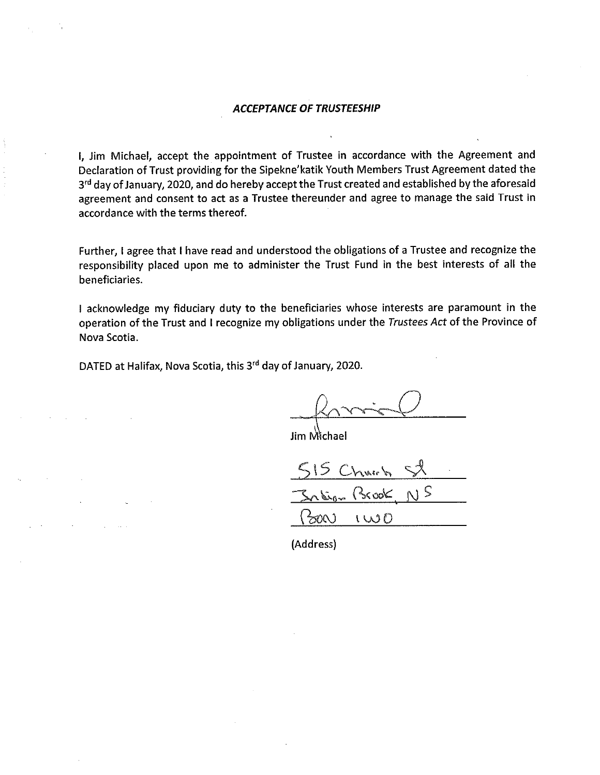I, Jim Michael, accept the appointment of Trustee in accordance with the Agreement and Declaration of Trust providing for the Sipekne'katik Youth Members Trust Agreement dated the 3<sup>rd</sup> day of January, 2020, and do hereby accept the Trust created and established by the aforesaid agreement and consent to act as a Trustee thereunder and agree to manage the said Trust in accordance with the terms thereof.

Further, I agree that I have read and understood the obligations of a Trustee and recognize the responsibility placed upon me to administer the Trust Fund in the best interests of all the beneficiaries.

I acknowledge my fiduciary duty to the beneficiaries whose interests are paramount in the operation of the Trust and I recognize my obligations under the Trustees Act of the Province of Nova Scotia.

DATED at Halifax, Nova Scotia, this 3rd day of January, 2020.

Jim Mìchael

Churh

Jalina Brook

 $100$  $5001$